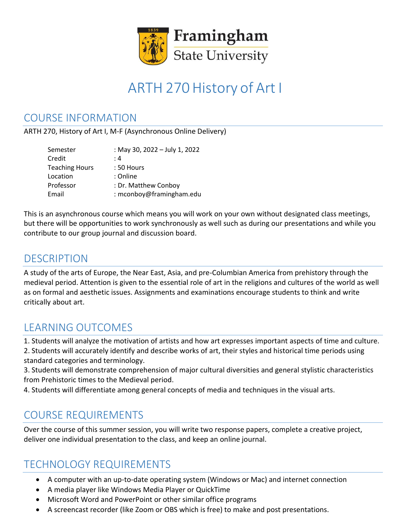

# ARTH 270 History of Art I

### COURSE INFORMATION

ARTH 270, History of Art I, M-F (Asynchronous Online Delivery)

| Semester              | : May 30, 2022 - July 1, 2022 |
|-----------------------|-------------------------------|
| Credit                | : 4                           |
| <b>Teaching Hours</b> | $:50$ Hours                   |
| Location              | : Online                      |
| Professor             | : Dr. Matthew Conboy          |
| Email                 | : mconboy@framingham.edu      |

This is an asynchronous course which means you will work on your own without designated class meetings, but there will be opportunities to work synchronously as well such as during our presentations and while you contribute to our group journal and discussion board.

### DESCRIPTION

A study of the arts of Europe, the Near East, Asia, and pre-Columbian America from prehistory through the medieval period. Attention is given to the essential role of art in the religions and cultures of the world as well as on formal and aesthetic issues. Assignments and examinations encourage students to think and write critically about art.

# LEARNING OUTCOMES

1. Students will analyze the motivation of artists and how art expresses important aspects of time and culture.

2. Students will accurately identify and describe works of art, their styles and historical time periods using standard categories and terminology.

3. Students will demonstrate comprehension of major cultural diversities and general stylistic characteristics from Prehistoric times to the Medieval period.

4. Students will differentiate among general concepts of media and techniques in the visual arts.

# COURSE REQUIREMENTS

Over the course of this summer session, you will write two response papers, complete a creative project, deliver one individual presentation to the class, and keep an online journal.

### TECHNOLOGY REQUIREMENTS

- A computer with an up-to-date operating system (Windows or Mac) and internet connection
- A media player like Windows Media Player or QuickTime
- Microsoft Word and PowerPoint or other similar office programs
- A screencast recorder (like Zoom or OBS which is free) to make and post presentations.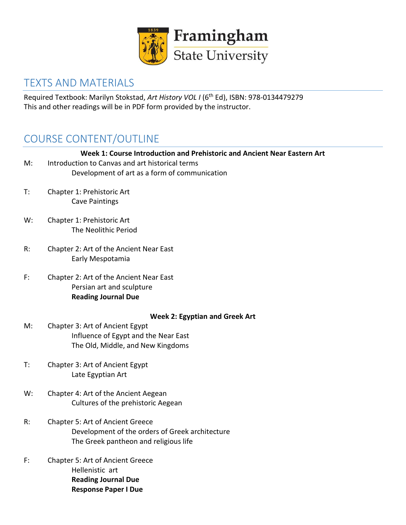

### TEXTS AND MATERIALS

Required Textbook: Marilyn Stokstad, *Art History VOL I* (6th Ed), ISBN: 978-0134479279 This and other readings will be in PDF form provided by the instructor.

# COURSE CONTENT/OUTLINE

| M: | Week 1: Course Introduction and Prehistoric and Ancient Near Eastern Art<br>Introduction to Canvas and art historical terms<br>Development of art as a form of communication |
|----|------------------------------------------------------------------------------------------------------------------------------------------------------------------------------|
| T: | Chapter 1: Prehistoric Art<br><b>Cave Paintings</b>                                                                                                                          |
| W: | Chapter 1: Prehistoric Art<br>The Neolithic Period                                                                                                                           |
| R: | Chapter 2: Art of the Ancient Near East<br>Early Mespotamia                                                                                                                  |
| F: | Chapter 2: Art of the Ancient Near East<br>Persian art and sculpture<br><b>Reading Journal Due</b>                                                                           |
| M: | <b>Week 2: Egyptian and Greek Art</b><br>Chapter 3: Art of Ancient Egypt<br>Influence of Egypt and the Near East<br>The Old, Middle, and New Kingdoms                        |
| T: | Chapter 3: Art of Ancient Egypt<br>Late Egyptian Art                                                                                                                         |
| W: | Chapter 4: Art of the Ancient Aegean<br>Cultures of the prehistoric Aegean                                                                                                   |
| R: | Chapter 5: Art of Ancient Greece<br>Development of the orders of Greek architecture<br>The Greek pantheon and religious life                                                 |
| F: | Chapter 5: Art of Ancient Greece<br>Hellenistic art<br><b>Reading Journal Due</b><br><b>Response Paper I Due</b>                                                             |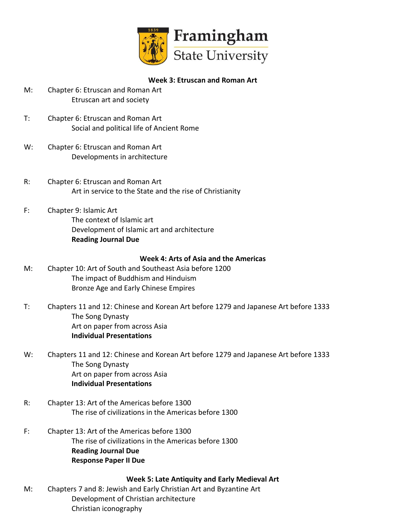

#### **Week 3: Etruscan and Roman Art**

- M: Chapter 6: Etruscan and Roman Art Etruscan art and society
- T: Chapter 6: Etruscan and Roman Art Social and political life of Ancient Rome
- W: Chapter 6: Etruscan and Roman Art Developments in architecture
- R: Chapter 6: Etruscan and Roman Art Art in service to the State and the rise of Christianity
- F: Chapter 9: Islamic Art The context of Islamic art Development of Islamic art and architecture **Reading Journal Due**

#### **Week 4: Arts of Asia and the Americas**

- M: Chapter 10: Art of South and Southeast Asia before 1200 The impact of Buddhism and Hinduism Bronze Age and Early Chinese Empires
- T: Chapters 11 and 12: Chinese and Korean Art before 1279 and Japanese Art before 1333 The Song Dynasty Art on paper from across Asia **Individual Presentations**
- W: Chapters 11 and 12: Chinese and Korean Art before 1279 and Japanese Art before 1333 The Song Dynasty Art on paper from across Asia **Individual Presentations**
- R: Chapter 13: Art of the Americas before 1300 The rise of civilizations in the Americas before 1300
- F: Chapter 13: Art of the Americas before 1300 The rise of civilizations in the Americas before 1300 **Reading Journal Due Response Paper II Due**

#### **Week 5: Late Antiquity and Early Medieval Art**

M: Chapters 7 and 8: Jewish and Early Christian Art and Byzantine Art Development of Christian architecture Christian iconography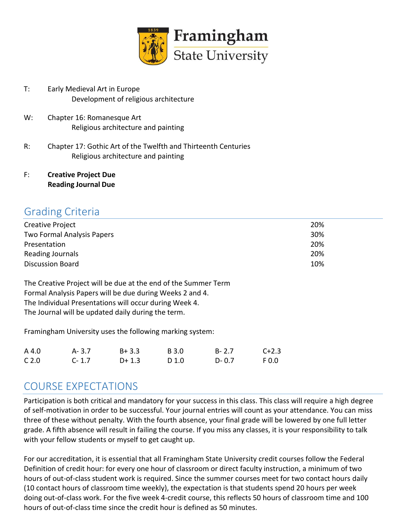

- T: Early Medieval Art in Europe Development of religious architecture
- W: Chapter 16: Romanesque Art Religious architecture and painting
- R: Chapter 17: Gothic Art of the Twelfth and Thirteenth Centuries Religious architecture and painting
- F: **Creative Project Due Reading Journal Due**

### Grading Criteria

| <b>Creative Project</b>    | 20% |
|----------------------------|-----|
| Two Formal Analysis Papers | 30% |
| Presentation               | 20% |
| Reading Journals           | 20% |
| <b>Discussion Board</b>    | 10% |

The Creative Project will be due at the end of the Summer Term Formal Analysis Papers will be due during Weeks 2 and 4. The Individual Presentations will occur during Week 4. The Journal will be updated daily during the term.

Framingham University uses the following marking system:

| A 4.0            | A- 3.7    | $B + 3.3$ | B 3.0 | $B - 2.7$ | $C + 2.3$ |
|------------------|-----------|-----------|-------|-----------|-----------|
| C <sub>2.0</sub> | $C - 1.7$ | $D+1.3$   | D 1.0 | $D - 0.7$ | F 0.0     |

### COURSE EXPECTATIONS

Participation is both critical and mandatory for your success in this class. This class will require a high degree of self-motivation in order to be successful. Your journal entries will count as your attendance. You can miss three of these without penalty. With the fourth absence, your final grade will be lowered by one full letter grade. A fifth absence will result in failing the course. If you miss any classes, it is your responsibility to talk with your fellow students or myself to get caught up.

For our accreditation, it is essential that all Framingham State University credit courses follow the Federal Definition of credit hour: for every one hour of classroom or direct faculty instruction, a minimum of two hours of out-of-class student work is required. Since the summer courses meet for two contact hours daily (10 contact hours of classroom time weekly), the expectation is that students spend 20 hours per week doing out-of-class work. For the five week 4-credit course, this reflects 50 hours of classroom time and 100 hours of out-of-class time since the credit hour is defined as 50 minutes.